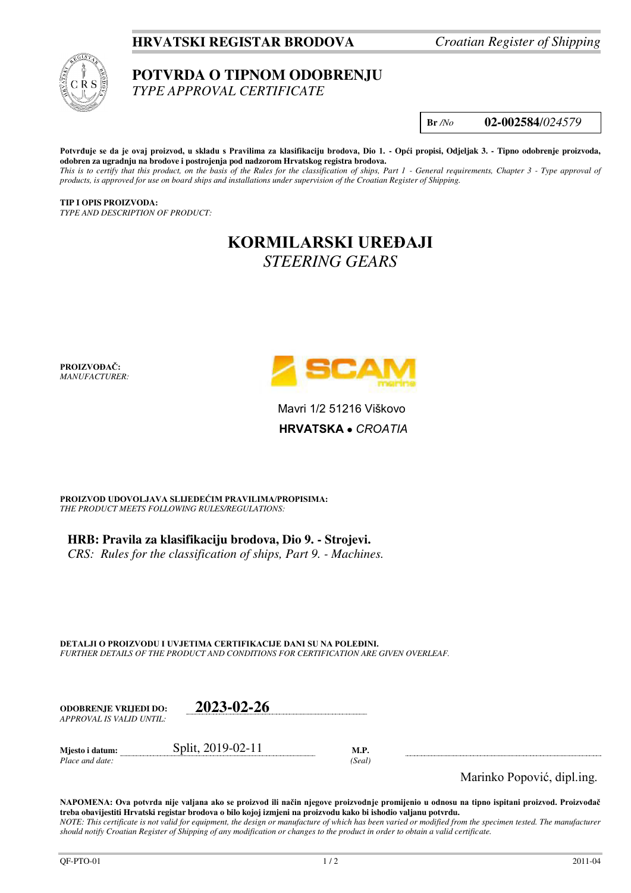## **HRVATSKI REGISTAR BRODOVA** *Croatian Register of Shipping*



### **POTVRDA O TIPNOM ODOBRENJU**  *TYPE APPROVAL CERTIFICATE*

**Br** */No* **02-002584**/*024579*

**Potvrđuje se da je ovaj proizvod, u skladu s Pravilima za klasifikaciju brodova, Dio 1. - Opći propisi, Odjeljak 3. - Tipno odobrenje proizvoda, odobren za ugradnju na brodove i postrojenja pod nadzorom Hrvatskog registra brodova.**  *This is to certify that this product, on the basis of the Rules for the classification of ships, Part 1 - General requirements, Chapter 3 - Type approval of products, is approved for use on board ships and installations under supervision of the Croatian Register of Shipping.* 

**TIP I OPIS PROIZVODA:** *TYPE AND DESCRIPTION OF PRODUCT:* 

# **KORMILARSKI UREĐAJI** *STEERING GEARS*

**PROIZVOĐAČ:** *MANUFACTURER:*



Mavri 1/2 51216 Viškovo **HRVATSKA**  *CROATIA*

**PROIZVOD UDOVOLJAVA SLIJEDEĆIM PRAVILIMA/PROPISIMA:** *THE PRODUCT MEETS FOLLOWING RULES/REGULATIONS:* 

**HRB: Pravila za klasifikaciju brodova, Dio 9. - Strojevi.**  *CRS: Rules for the classification of ships, Part 9. - Machines.*

**DETALJI O PROIZVODU I UVJETIMA CERTIFIKACIJE DANI SU NA POLEĐINI.** *FURTHER DETAILS OF THE PRODUCT AND CONDITIONS FOR CERTIFICATION ARE GIVEN OVERLEAF.* 

| <b>ODOBRENJE VRLIEDI DO:</b> | 2023-02-26        |      |
|------------------------------|-------------------|------|
| APPROVAL IS VALID UNTIL:     |                   |      |
| Miesto i datum:              | Split, 2019-02-11 | M.P. |

*Place and date: (Seal)* 

Marinko Popović, dipl.ing.

**NAPOMENA: Ova potvrda nije valjana ako se proizvod ili način njegove proizvodnje promijenio u odnosu na tipno ispitani proizvod. Proizvođač treba obavijestiti Hrvatski registar brodova o bilo kojoj izmjeni na proizvodu kako bi ishodio valjanu potvrdu.**  *NOTE: This certificate is not valid for equipment, the design or manufacture of which has been varied or modified from the specimen tested. The manufacturer should notify Croatian Register of Shipping of any modification or changes to the product in order to obtain a valid certificate.*